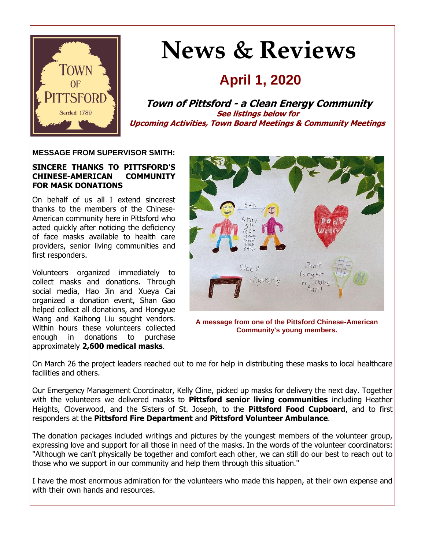

# **News & Reviews**

# **April 1, 2020**

**Town of Pittsford - a Clean Energy Community See listings below for Upcoming Activities, Town Board Meetings & Community Meetings**

#### **MESSAGE FROM SUPERVISOR SMITH:**

#### **SINCERE THANKS TO PITTSFORD'S CHINESE-AMERICAN COMMUNITY FOR MASK DONATIONS**

On behalf of us all I extend sincerest thanks to the members of the Chinese-American community here in Pittsford who acted quickly after noticing the deficiency of face masks available to health care providers, senior living communities and first responders.

Volunteers organized immediately to collect masks and donations. Through social media, Hao Jin and Xueya Cai organized a donation event, Shan Gao helped collect all donations, and Hongyue Wang and Kaihong Liu sought vendors. Within hours these volunteers collected enough in donations to purchase approximately **2,600 medical masks**.



On March 26 the project leaders reached out to me for help in distributing these masks to local healthcare facilities and others.

Our Emergency Management Coordinator, Kelly Cline, picked up masks for delivery the next day. Together with the volunteers we delivered masks to **Pittsford senior living communities** including Heather Heights, Cloverwood, and the Sisters of St. Joseph, to the **Pittsford Food Cupboard**, and to first responders at the **Pittsford Fire Department** and **Pittsford Volunteer Ambulance**.

The donation packages included writings and pictures by the youngest members of the volunteer group, expressing love and support for all those in need of the masks. In the words of the volunteer coordinators: "Although we can't physically be together and comfort each other, we can still do our best to reach out to those who we support in our community and help them through this situation."

I have the most enormous admiration for the volunteers who made this happen, at their own expense and with their own hands and resources.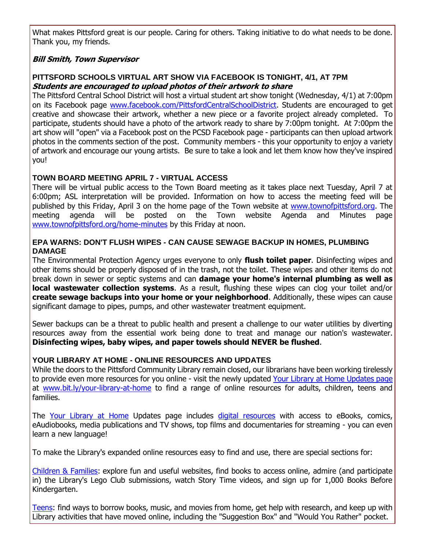What makes Pittsford great is our people. Caring for others. Taking initiative to do what needs to be done. Thank you, my friends.

#### **Bill Smith, Town Supervisor**

#### **PITTSFORD SCHOOLS VIRTUAL ART SHOW VIA FACEBOOK IS TONIGHT, 4/1, AT 7PM Students are encouraged to upload photos of their artwork to share**

The Pittsford Central School District will host a virtual student art show tonight (Wednesday, 4/1) at 7:00pm on its Facebook page [www.facebook.com/PittsfordCentralSchoolDistrict.](http://r20.rs6.net/tn.jsp?f=001GTAZxGUl8F8CNO8s0gOwdh6vJyK10AX8N6itBNBlIAl7LgnJLw3dg1bczBs2kmqyJv37iszs83jtX4lBy56YTBiHtiMmC4F6xj2_gnYN5SltFsTLIAPuPLbz7vCq5ZqPwTH931_MSgW61Bfvkp9uBDg6bJRIzG3aTj92nDwusnAXZNULNoF5aW8nuABXxjxhX0NhD7W5HE15FjeWY__PGg==&c=TCwLOPnNqRkySd0f70GbV1w1KhrfOIwj_G5lZ57YVJN_Cl2gIAWHZA==&ch=f9M2ijZn99xKaws4w96Cokod6w0_Gw-cvgH6G1gVQst2E8TYCpIzug==) Students are encouraged to get creative and showcase their artwork, whether a new piece or a favorite project already completed. To participate, students should have a photo of the artwork ready to share by 7:00pm tonight. At 7:00pm the art show will "open" via a Facebook post on the PCSD Facebook page - participants can then upload artwork photos in the comments section of the post. Community members - this your opportunity to enjoy a variety of artwork and encourage our young artists. Be sure to take a look and let them know how they've inspired you!

#### **TOWN BOARD MEETING APRIL 7 - VIRTUAL ACCESS**

There will be virtual public access to the Town Board meeting as it takes place next Tuesday, April 7 at 6:00pm; ASL interpretation will be provided. Information on how to access the meeting feed will be published by this Friday, April 3 on the home page of the Town website at [www.townofpittsford.org.](http://r20.rs6.net/tn.jsp?f=001GTAZxGUl8F8CNO8s0gOwdh6vJyK10AX8N6itBNBlIAl7LgnJLw3dg1U-hA8u3kqwmdVQuU4Scz0N5_LxzzPYi1qNaf8oeqV3nlrFDAcO64gSjVrSDI761aUuIJQwTX7EKx2R6B6s3t9Gc2xaELHbFL9cEF8eRi7BUiMeprR7PQEtCrxrrbXHVV7eVrjq3Blpqm9EI-skirhy87IuOvv3-mU6P9tO2pprgw4FKadyimSfjy5K5TOqA8jxEPb8xbBA1OIedzEcefe10atga0Q3aW2qyZ8xCbiVmaardAaobks=&c=TCwLOPnNqRkySd0f70GbV1w1KhrfOIwj_G5lZ57YVJN_Cl2gIAWHZA==&ch=f9M2ijZn99xKaws4w96Cokod6w0_Gw-cvgH6G1gVQst2E8TYCpIzug==) The meeting agenda will be posted on the Town website Agenda and Minutes page [www.townofpittsford.org/home-minutes](http://r20.rs6.net/tn.jsp?f=001GTAZxGUl8F8CNO8s0gOwdh6vJyK10AX8N6itBNBlIAl7LgnJLw3dgzsREDTeSZL1q56FoZpGzjltyIop_lwPwzSJRLxvbR69SXM8Tt_AcZ_rUbsy_s2TL9QJRvqn55H_KyagwTfixAbomueidILonAl6urmPLHBppl8Y6JecQ9hAK6JbiUO0TTmEZJEcv_RCtSZ67xU0oQZv-tc0l3LjgpxnQ5Hta-ptGbpMi0GHr8emj8Af5_87jm6vJ0d4HjHy4Xyz0_OIo2gu-aKMx0ibwtE9TPGlsqNTe9_j1YJuXY6NYirmfYw8vA==&c=TCwLOPnNqRkySd0f70GbV1w1KhrfOIwj_G5lZ57YVJN_Cl2gIAWHZA==&ch=f9M2ijZn99xKaws4w96Cokod6w0_Gw-cvgH6G1gVQst2E8TYCpIzug==) by this Friday at noon.

#### **EPA WARNS: DON'T FLUSH WIPES - CAN CAUSE SEWAGE BACKUP IN HOMES, PLUMBING DAMAGE**

The Environmental Protection Agency urges everyone to only **flush toilet paper**. Disinfecting wipes and other items should be properly disposed of in the trash, not the toilet. These wipes and other items do not break down in sewer or septic systems and can **damage your home's internal plumbing as well as local wastewater collection systems**. As a result, flushing these wipes can clog your toilet and/or **create sewage backups into your home or your neighborhood**. Additionally, these wipes can cause significant damage to pipes, pumps, and other wastewater treatment equipment.

Sewer backups can be a threat to public health and present a challenge to our water utilities by diverting resources away from the essential work being done to treat and manage our nation's wastewater. **Disinfecting wipes, baby wipes, and paper towels should NEVER be flushed**.

#### **YOUR LIBRARY AT HOME - ONLINE RESOURCES AND UPDATES**

While the doors to the Pittsford Community Library remain closed, our librarians have been working tirelessly to provide even more resources for you online - visit the newly updated [Your Library at Home Updates page](http://r20.rs6.net/tn.jsp?f=001GTAZxGUl8F8CNO8s0gOwdh6vJyK10AX8N6itBNBlIAl7LgnJLw3dg1bczBs2kmqyXZx0Wh_Clr3qf0pD0-4I3TJAcK7BWoASaDAOKmuoRLZbJ3-Pgm2XKqL7BEc7i6QsTAfHLmBlKZ44rVoApYAazckqZUrSTwydmvsvXiTDdiPVWVST0W-12oHlCn1QFn5AKMRK0tKpUcaRvdS8la1RCrGxV_zTm4oCt1lk8g5tkmGJGRp8Ivxy_qDL88VVamFDAp6MqA7Bmgl5NFqDQaIwumVmw2jvznKsm6nYFqixYA-YsuWwn2yoEA==&c=TCwLOPnNqRkySd0f70GbV1w1KhrfOIwj_G5lZ57YVJN_Cl2gIAWHZA==&ch=f9M2ijZn99xKaws4w96Cokod6w0_Gw-cvgH6G1gVQst2E8TYCpIzug==) at [www.bit.ly/your-library-at-home](http://r20.rs6.net/tn.jsp?f=001GTAZxGUl8F8CNO8s0gOwdh6vJyK10AX8N6itBNBlIAl7LgnJLw3dg1bczBs2kmqyXZx0Wh_Clr3qf0pD0-4I3TJAcK7BWoASaDAOKmuoRLZbJ3-Pgm2XKqL7BEc7i6QsTAfHLmBlKZ44rVoApYAazckqZUrSTwydmvsvXiTDdiPVWVST0W-12oHlCn1QFn5AKMRK0tKpUcaRvdS8la1RCrGxV_zTm4oCt1lk8g5tkmGJGRp8Ivxy_qDL88VVamFDAp6MqA7Bmgl5NFqDQaIwumVmw2jvznKsm6nYFqixYA-YsuWwn2yoEA==&c=TCwLOPnNqRkySd0f70GbV1w1KhrfOIwj_G5lZ57YVJN_Cl2gIAWHZA==&ch=f9M2ijZn99xKaws4w96Cokod6w0_Gw-cvgH6G1gVQst2E8TYCpIzug==) to find a range of online resources for adults, children, teens and families.

The [Your Library at Home](http://r20.rs6.net/tn.jsp?f=001GTAZxGUl8F8CNO8s0gOwdh6vJyK10AX8N6itBNBlIAl7LgnJLw3dg1bczBs2kmqyXZx0Wh_Clr3qf0pD0-4I3TJAcK7BWoASaDAOKmuoRLZbJ3-Pgm2XKqL7BEc7i6QsTAfHLmBlKZ44rVoApYAazckqZUrSTwydmvsvXiTDdiPVWVST0W-12oHlCn1QFn5AKMRK0tKpUcaRvdS8la1RCrGxV_zTm4oCt1lk8g5tkmGJGRp8Ivxy_qDL88VVamFDAp6MqA7Bmgl5NFqDQaIwumVmw2jvznKsm6nYFqixYA-YsuWwn2yoEA==&c=TCwLOPnNqRkySd0f70GbV1w1KhrfOIwj_G5lZ57YVJN_Cl2gIAWHZA==&ch=f9M2ijZn99xKaws4w96Cokod6w0_Gw-cvgH6G1gVQst2E8TYCpIzug==) Updates page includes [digital resources](http://r20.rs6.net/tn.jsp?f=001GTAZxGUl8F8CNO8s0gOwdh6vJyK10AX8N6itBNBlIAl7LgnJLw3dgx-iudE2m2yp66X2z2a0_GpJiHS6Hpc40gOm3sBkQ2mwnMW1eKBjY1CWWPIciQA3khAXxlyotwUu6_WWM_k6VVzXVrlPXEas_pnDETaShRJ6TBekvWlUfjVcYpyhXbhEwFBKf6GMdwyzs3R6YUvcxljWtOrpOLqMZ0N9pSYBC2cQ0MQS_dyy7kBhqH-CGF5PII42ztAVb7G6osJhHQldHN_gHIrbY5vm4Z3Z6sdLONAY3LCzzY7AyYRVyGv7dj4vQA11HZ1gi8Yv&c=TCwLOPnNqRkySd0f70GbV1w1KhrfOIwj_G5lZ57YVJN_Cl2gIAWHZA==&ch=f9M2ijZn99xKaws4w96Cokod6w0_Gw-cvgH6G1gVQst2E8TYCpIzug==) with access to eBooks, comics, eAudiobooks, media publications and TV shows, top films and documentaries for streaming - you can even learn a new language!

To make the Library's expanded online resources easy to find and use, there are special sections for:

[Children & Families:](http://r20.rs6.net/tn.jsp?f=001GTAZxGUl8F8CNO8s0gOwdh6vJyK10AX8N6itBNBlIAl7LgnJLw3dg1bczBs2kmqyjuOSSeE7pOE8-3IbAkdZs7ZDwS1EssG-3yMXn0PwvXcof2v5EnGGWm7oo6POlB0v5dAPmRuehKypJ4jfHXO-IUrOmKzTVYkPiKW1JgeD0JxCCRGfAqmCnKzsir-3HNPS2npNtzjNYwQsekfNp9-blcJs5HMnjybZEveYUCZvc3yCE0grh9GHN-zVfHal8zruMORIbaR7avDNigYqM9ZUrxQSHMdqVJlbwCkMEqem80WqYzQLvsBLj5JtgAAcNw8H&c=TCwLOPnNqRkySd0f70GbV1w1KhrfOIwj_G5lZ57YVJN_Cl2gIAWHZA==&ch=f9M2ijZn99xKaws4w96Cokod6w0_Gw-cvgH6G1gVQst2E8TYCpIzug==) explore fun and useful websites, find books to access online, admire (and participate in) the Library's Lego Club submissions, watch Story Time videos, and sign up for 1,000 Books Before Kindergarten.

[Teens:](http://r20.rs6.net/tn.jsp?f=001GTAZxGUl8F8CNO8s0gOwdh6vJyK10AX8N6itBNBlIAl7LgnJLw3dg1bczBs2kmqy6KZ5-Tc0XgxmSRkZGIMQwVj6_T6x0y_d39rVOepk4DwtiGzgGt6IHJjwbIudqLdCBXaW6dhpmGkKywXEvSQP1lmntIcm8ZXtAva5voG-TiFKKMTQsVhICrzPiOwNwO9mdbGP09iMuqeJWphfn6aOqxCA86rvjMOoY2U_YAyAVyhUsWL2gCUKmkGzq8m8lr5BU5Ng-eM7hWLbEGMX2hTKrr4nmJUZzhplLX1UqbiVeJwRDFOeE-bdvTHdN7ZVvmDZ&c=TCwLOPnNqRkySd0f70GbV1w1KhrfOIwj_G5lZ57YVJN_Cl2gIAWHZA==&ch=f9M2ijZn99xKaws4w96Cokod6w0_Gw-cvgH6G1gVQst2E8TYCpIzug==) find ways to borrow books, music, and movies from home, get help with research, and keep up with Library activities that have moved online, including the "Suggestion Box" and "Would You Rather" pocket.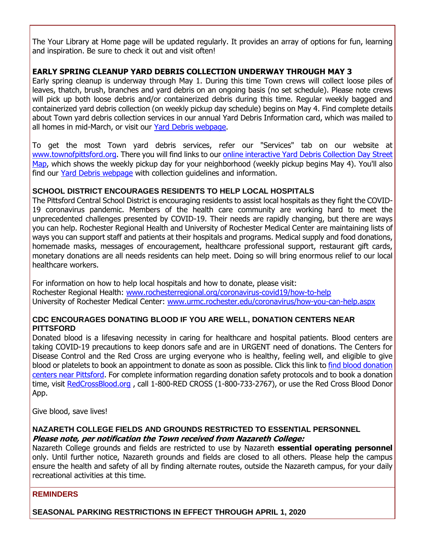The Your Library at Home page will be updated regularly. It provides an array of options for fun, learning and inspiration. Be sure to check it out and visit often!

#### **EARLY SPRING CLEANUP YARD DEBRIS COLLECTION UNDERWAY THROUGH MAY 3**

Early spring cleanup is underway through May 1. During this time Town crews will collect loose piles of leaves, thatch, brush, branches and yard debris on an ongoing basis (no set schedule). Please note crews will pick up both loose debris and/or containerized debris during this time. Regular weekly bagged and containerized yard debris collection (on weekly pickup day schedule) begins on May 4. Find complete details about Town yard debris collection services in our annual Yard Debris Information card, which was mailed to all homes in mid-March, or visit our [Yard Debris webpage.](http://r20.rs6.net/tn.jsp?f=001GTAZxGUl8F8CNO8s0gOwdh6vJyK10AX8N6itBNBlIAl7LgnJLw3dg0xtPR_AA0NHD7Iq_jZ3941n4fMSIOCOFWeG7VC9KZ4yoKrBKYtyfE2HKspq-_eVUR4mUx6haqcZC8JBgc9urXWR6O5zZLpMyoKWaBoXJ_H30H6ClqdlVCIp72w3zV7zT4iJ3ufLb1LlQLho-9TIDuJ_ZpBW9Km0yASVNHl1LZDs4i0CsqAPhsSyEAWzKuE30W4JGWGjCkSHPU0uZdK7fGERKTAjJZJ46zOh7KTLop8vx3CfgXGtKJx1J0g7yYUsoQ==&c=TCwLOPnNqRkySd0f70GbV1w1KhrfOIwj_G5lZ57YVJN_Cl2gIAWHZA==&ch=f9M2ijZn99xKaws4w96Cokod6w0_Gw-cvgH6G1gVQst2E8TYCpIzug==)

To get the most Town yard debris services, refer our "Services" tab on our website at [www.townofpittsford.org.](http://r20.rs6.net/tn.jsp?f=001GTAZxGUl8F8CNO8s0gOwdh6vJyK10AX8N6itBNBlIAl7LgnJLw3dg1U-hA8u3kqwmdVQuU4Scz0N5_LxzzPYi1qNaf8oeqV3nlrFDAcO64gSjVrSDI761aUuIJQwTX7EKx2R6B6s3t9Gc2xaELHbFL9cEF8eRi7BUiMeprR7PQEtCrxrrbXHVV7eVrjq3Blpqm9EI-skirhy87IuOvv3-mU6P9tO2pprgw4FKadyimSfjy5K5TOqA8jxEPb8xbBA1OIedzEcefe10atga0Q3aW2qyZ8xCbiVmaardAaobks=&c=TCwLOPnNqRkySd0f70GbV1w1KhrfOIwj_G5lZ57YVJN_Cl2gIAWHZA==&ch=f9M2ijZn99xKaws4w96Cokod6w0_Gw-cvgH6G1gVQst2E8TYCpIzug==) There you will find links to our [online interactive Yard Debris Collection Day Street](http://r20.rs6.net/tn.jsp?f=001GTAZxGUl8F8CNO8s0gOwdh6vJyK10AX8N6itBNBlIAl7LgnJLw3dg6RuQsGHDAv0Tj4RuDsJnmJSo4R4Me8QXpmMXHLVY9PBnDCdXOT-kyC8_ERb0MvldK7x8wPwQFSjjo_RgwHtpbWeRGyd6qjrdSa_docTmRYSzynyLNsAZvc4NsRZn92xDK7TXjCqbkWm7TbONKkhgUcsRS_7C5bilEjB8xz6K7Udx-zacOOT5xvucFVBIAg2gMBhq8uMgmn6pZiigo78w66z9-EYj8Pc5voql8IhfQZowNl5YD9b18VxGMaaQhENv6liHCQfI3Yj&c=TCwLOPnNqRkySd0f70GbV1w1KhrfOIwj_G5lZ57YVJN_Cl2gIAWHZA==&ch=f9M2ijZn99xKaws4w96Cokod6w0_Gw-cvgH6G1gVQst2E8TYCpIzug==)  [Map,](http://r20.rs6.net/tn.jsp?f=001GTAZxGUl8F8CNO8s0gOwdh6vJyK10AX8N6itBNBlIAl7LgnJLw3dg6RuQsGHDAv0Tj4RuDsJnmJSo4R4Me8QXpmMXHLVY9PBnDCdXOT-kyC8_ERb0MvldK7x8wPwQFSjjo_RgwHtpbWeRGyd6qjrdSa_docTmRYSzynyLNsAZvc4NsRZn92xDK7TXjCqbkWm7TbONKkhgUcsRS_7C5bilEjB8xz6K7Udx-zacOOT5xvucFVBIAg2gMBhq8uMgmn6pZiigo78w66z9-EYj8Pc5voql8IhfQZowNl5YD9b18VxGMaaQhENv6liHCQfI3Yj&c=TCwLOPnNqRkySd0f70GbV1w1KhrfOIwj_G5lZ57YVJN_Cl2gIAWHZA==&ch=f9M2ijZn99xKaws4w96Cokod6w0_Gw-cvgH6G1gVQst2E8TYCpIzug==) which shows the weekly pickup day for your neighborhood (weekly pickup begins May 4). You'll also find our [Yard Debris webpage](http://r20.rs6.net/tn.jsp?f=001GTAZxGUl8F8CNO8s0gOwdh6vJyK10AX8N6itBNBlIAl7LgnJLw3dg0xtPR_AA0NHD7Iq_jZ3941n4fMSIOCOFWeG7VC9KZ4yoKrBKYtyfE2HKspq-_eVUR4mUx6haqcZC8JBgc9urXWR6O5zZLpMyoKWaBoXJ_H30H6ClqdlVCIp72w3zV7zT4iJ3ufLb1LlQLho-9TIDuJ_ZpBW9Km0yASVNHl1LZDs4i0CsqAPhsSyEAWzKuE30W4JGWGjCkSHPU0uZdK7fGERKTAjJZJ46zOh7KTLop8vx3CfgXGtKJx1J0g7yYUsoQ==&c=TCwLOPnNqRkySd0f70GbV1w1KhrfOIwj_G5lZ57YVJN_Cl2gIAWHZA==&ch=f9M2ijZn99xKaws4w96Cokod6w0_Gw-cvgH6G1gVQst2E8TYCpIzug==) with collection quidelines and information.

#### **SCHOOL DISTRICT ENCOURAGES RESIDENTS TO HELP LOCAL HOSPITALS**

The Pittsford Central School District is encouraging residents to assist local hospitals as they fight the COVID-19 coronavirus pandemic. Members of the health care community are working hard to meet the unprecedented challenges presented by COVID-19. Their needs are rapidly changing, but there are ways you can help. Rochester Regional Health and University of Rochester Medical Center are maintaining lists of ways you can support staff and patients at their hospitals and programs. Medical supply and food donations, homemade masks, messages of encouragement, healthcare professional support, restaurant gift cards, monetary donations are all needs residents can help meet. Doing so will bring enormous relief to our local healthcare workers.

For information on how to help local hospitals and how to donate, please visit: Rochester Regional Health: [www.rochesterregional.org/coronavirus-covid19/how-to-help](http://r20.rs6.net/tn.jsp?f=001GTAZxGUl8F8CNO8s0gOwdh6vJyK10AX8N6itBNBlIAl7LgnJLw3dg1bczBs2kmqyTceJueZ4aZ8Maco-AJ3XUtp5R86eGwxIx4htcRUL2lnahhW9nTnTwxj73c7XJG3NUUQhlwrzqdD12xftsWbO2TVx5gWR04CW_MyFdk6RTDktrUFQvBaoK4rf9irEG3234hjMFjtg0dxZNa7OY_mmr3vHF6vHijddZHhSEwSahRw_hZZ9paoljWLjyGiuDXsYDY_rSp_LxXXvV1K7vKpuCRv4LLhZSAH0pBrvMbsbxsl7TokSKCoo380pNwTWVGlgJB22JDBgIGzzrTCad3DB_w==&c=TCwLOPnNqRkySd0f70GbV1w1KhrfOIwj_G5lZ57YVJN_Cl2gIAWHZA==&ch=f9M2ijZn99xKaws4w96Cokod6w0_Gw-cvgH6G1gVQst2E8TYCpIzug==) University of Rochester Medical Center: [www.urmc.rochester.edu/coronavirus/how-you-can-help.aspx](http://r20.rs6.net/tn.jsp?f=001GTAZxGUl8F8CNO8s0gOwdh6vJyK10AX8N6itBNBlIAl7LgnJLw3dg1bczBs2kmqy0DT7X5UzaGH-WzixpWpnrk59psjf_IZ4pdq1BRnGUVIpCstICzxi1bkQS18hVKGHbu_C-MAigBZZEf0OAaWKLeB3_YM2-IhS2byJETlR0nFlUOSrlxAxvK9isjPlg_solUM57VZOxS9iW99FVKyLfLeC4Ufw20FmPqXZ7Fa7QvtVmz3LcaqKQW3ym_2e9YjFrU6uU_Zzqj12esMeCDkXoQscgMiOBdQo5ZIOvZa_07KC91WklgXv50R1QfwfBzaM2Tukns6C0PU55crHhFlRwA==&c=TCwLOPnNqRkySd0f70GbV1w1KhrfOIwj_G5lZ57YVJN_Cl2gIAWHZA==&ch=f9M2ijZn99xKaws4w96Cokod6w0_Gw-cvgH6G1gVQst2E8TYCpIzug==)

#### **CDC ENCOURAGES DONATING BLOOD IF YOU ARE WELL, DONATION CENTERS NEAR PITTSFORD**

Donated blood is a lifesaving necessity in caring for healthcare and hospital patients. Blood centers are taking COVID-19 precautions to keep donors safe and are in URGENT need of donations. The Centers for Disease Control and the Red Cross are urging everyone who is healthy, feeling well, and eligible to give blood or platelets to book an appointment to donate as soon as possible. Click this link to [find blood donation](http://r20.rs6.net/tn.jsp?f=001GTAZxGUl8F8CNO8s0gOwdh6vJyK10AX8N6itBNBlIAl7LgnJLw3dg1bczBs2kmqy_ib9oW9v3-pU3ZIrjTXoLlTY6bnWOjSDOu9ShAatGPb8LvW0kn683bUNjFgEEmDC6rkjExACUewdg5TCCQQAYXbNrfxwNor53t2IXilvi6fjlf5q352UXF7XNLDwK1-gF911rSIQ2f4evoHpEaANN6Rm3wizlw1xl6GI3-eJlCYu9TeuoB5Wk0FrQ6oddMwQs_Fca26emRY8u6xwEakZgmRPyYgUcXdba-hkr7Hm3TZaElU4p6cNO-j_7Ku12VJfInKErkKoJW6mENOfCDspQHztpfDB64rbtCzFedKEQUq8NclfgMeGpOfjma-sqPF6_7MbVdyiU0Wm9EM_0I7HPr2UFuY6d-9qEV6rPHk0yePFoYdFcZMBhWTELS10cQ4LnAKXe_FgkfA=&c=TCwLOPnNqRkySd0f70GbV1w1KhrfOIwj_G5lZ57YVJN_Cl2gIAWHZA==&ch=f9M2ijZn99xKaws4w96Cokod6w0_Gw-cvgH6G1gVQst2E8TYCpIzug==)  [centers near Pittsford.](http://r20.rs6.net/tn.jsp?f=001GTAZxGUl8F8CNO8s0gOwdh6vJyK10AX8N6itBNBlIAl7LgnJLw3dg1bczBs2kmqy_ib9oW9v3-pU3ZIrjTXoLlTY6bnWOjSDOu9ShAatGPb8LvW0kn683bUNjFgEEmDC6rkjExACUewdg5TCCQQAYXbNrfxwNor53t2IXilvi6fjlf5q352UXF7XNLDwK1-gF911rSIQ2f4evoHpEaANN6Rm3wizlw1xl6GI3-eJlCYu9TeuoB5Wk0FrQ6oddMwQs_Fca26emRY8u6xwEakZgmRPyYgUcXdba-hkr7Hm3TZaElU4p6cNO-j_7Ku12VJfInKErkKoJW6mENOfCDspQHztpfDB64rbtCzFedKEQUq8NclfgMeGpOfjma-sqPF6_7MbVdyiU0Wm9EM_0I7HPr2UFuY6d-9qEV6rPHk0yePFoYdFcZMBhWTELS10cQ4LnAKXe_FgkfA=&c=TCwLOPnNqRkySd0f70GbV1w1KhrfOIwj_G5lZ57YVJN_Cl2gIAWHZA==&ch=f9M2ijZn99xKaws4w96Cokod6w0_Gw-cvgH6G1gVQst2E8TYCpIzug==) For complete information regarding donation safety protocols and to book a donation time, visit [RedCrossBlood.org](http://r20.rs6.net/tn.jsp?f=001GTAZxGUl8F8CNO8s0gOwdh6vJyK10AX8N6itBNBlIAl7LgnJLw3dg1bczBs2kmqysT4XjZhHypX1h-09xwdQKUmqgrNQDhMYckzpDtZRmYAZIQZdEAyp11m7c9reHBvUToQkpbxg2Br9kQdlfLF0MtPfe1PM4zLF1rhh0pd3jp7KObW0qNSbsvGbqUktnQIEyKhWdg1jml1YFyHkyeen-aueHy4v_9yL7gbklHjv9-zbR4nC8p9V210jIKWTeUDEAAZb2U7f2BHJ6x2_KnOAwPeG6YfH46lN&c=TCwLOPnNqRkySd0f70GbV1w1KhrfOIwj_G5lZ57YVJN_Cl2gIAWHZA==&ch=f9M2ijZn99xKaws4w96Cokod6w0_Gw-cvgH6G1gVQst2E8TYCpIzug==) , call 1-800-RED CROSS (1-800-733-2767), or use the Red Cross Blood Donor App.

Give blood, save lives!

#### **NAZARETH COLLEGE FIELDS AND GROUNDS RESTRICTED TO ESSENTIAL PERSONNEL Please note, per notification the Town received from Nazareth College:**

Nazareth College grounds and fields are restricted to use by Nazareth **essential operating personnel** only. Until further notice, Nazareth grounds and fields are closed to all others. Please help the campus ensure the health and safety of all by finding alternate routes, outside the Nazareth campus, for your daily recreational activities at this time.

#### **REMINDERS**

**SEASONAL PARKING RESTRICTIONS IN EFFECT THROUGH APRIL 1, 2020**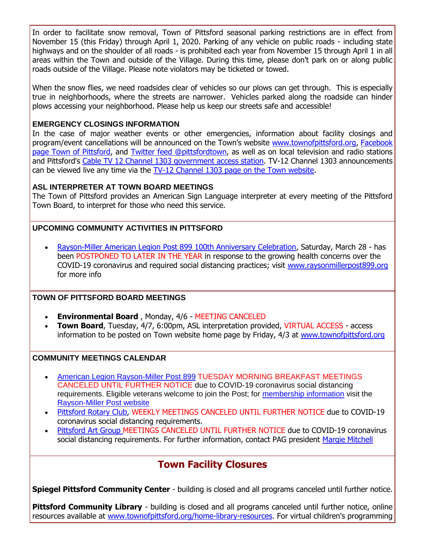In order to facilitate snow removal, Town of Pittsford seasonal parking restrictions are in effect from November 15 (this Friday) through April 1, 2020. Parking of any vehicle on public roads - including state highways and on the shoulder of all roads - is prohibited each year from November 15 through April 1 in all areas within the Town and outside of the Village. During this time, please don't park on or along public roads outside of the Village. Please note violators may be ticketed or towed.

When the snow flies, we need roadsides clear of vehicles so our plows can get through. This is especially true in neighborhoods, where the streets are narrower. Vehicles parked along the roadside can hinder plows accessing your neighborhood. Please help us keep our streets safe and accessible!

#### **EMERGENCY CLOSINGS INFORMATION**

In the case of major weather events or other emergencies, information about facility closings and program/event cancellations will be announced on the Town's website [www.townofpittsford.org,](http://townofpittsford.org/?utm_source=eNews+4-1-20&utm_campaign=eNews+04-01-20&utm_medium=email) Facebook [page Town of Pittsford,](https://www.facebook.com/pages/Town-of-Pittsford/139082619464200) and [Twitter feed @pittsfordtown,](http://r20.rs6.net/tn.jsp?f=001GTAZxGUl8F8CNO8s0gOwdh6vJyK10AX8N6itBNBlIAl7LgnJLw3dgzXTOMFaJSeuUqm8SuZwn6B4ww-DNad1CltJENFpLJ22gj15qNcASO2SsL05ba7x9nDuSc9dE5CZ4_nF8MuG2Zfu6jcRTqazhAAhwYau2vXEK9aF6hVuZ7Bk7ZipPtaSJQ==&c=TCwLOPnNqRkySd0f70GbV1w1KhrfOIwj_G5lZ57YVJN_Cl2gIAWHZA==&ch=f9M2ijZn99xKaws4w96Cokod6w0_Gw-cvgH6G1gVQst2E8TYCpIzug==) as well as on local television and radio stations and Pittsford's [Cable TV 12 Channel 1303 government access station.](http://townofpittsford.org/home-channel12?utm_source=eNews+4-1-20&utm_campaign=eNews+04-01-20&utm_medium=email) TV-12 Channel 1303 announcements can be viewed live any time via the [TV-12 Channel 1303 page on the Town website.](http://townofpittsford.org/home-channel12?utm_source=eNews+4-1-20&utm_campaign=eNews+04-01-20&utm_medium=email)

#### **ASL INTERPRETER AT TOWN BOARD MEETINGS**

The Town of Pittsford provides an American Sign Language interpreter at every meeting of the Pittsford Town Board, to interpret for those who need this service.

#### **UPCOMING COMMUNITY ACTIVITIES IN PITTSFORD**

 [Rayson-Miller American Legion Post 899 100th Anniversary Celebration,](http://r20.rs6.net/tn.jsp?f=001GTAZxGUl8F8CNO8s0gOwdh6vJyK10AX8N6itBNBlIAl7LgnJLw3dgyLMcMIRzJ1HceQhvIhXni9YJ5bc_zZQnF8WN7XxD7hndgzjTJouTULjEF_bGQc3xz6n-oVSCf6EBuEicjGL1orxZ3PtIjdOns3Aodxh3TbV5JMjiTevnu-yDtXz2jiolmGX4ixeETiw07iEkCfr7Ffd9HCoO4z__RbspwIeeAX9IVZYAOlsfzDHUP3IXT98VqD8BtGf9XE-y4QG7NQtCFwbg5nf4SxVHhvhhj0VruzXit45P76j-IQ=&c=TCwLOPnNqRkySd0f70GbV1w1KhrfOIwj_G5lZ57YVJN_Cl2gIAWHZA==&ch=f9M2ijZn99xKaws4w96Cokod6w0_Gw-cvgH6G1gVQst2E8TYCpIzug==) Saturday, March 28 - has been POSTPONED TO LATER IN THE YEAR in response to the growing health concerns over the COVID-19 coronavirus and required social distancing practices; visit [www.raysonmillerpost899.org](http://r20.rs6.net/tn.jsp?f=001GTAZxGUl8F8CNO8s0gOwdh6vJyK10AX8N6itBNBlIAl7LgnJLw3dgyLMcMIRzJ1HceQhvIhXni9YJ5bc_zZQnF8WN7XxD7hndgzjTJouTULjEF_bGQc3xz6n-oVSCf6EBuEicjGL1orxZ3PtIjdOns3Aodxh3TbV5JMjiTevnu-yDtXz2jiolmGX4ixeETiw07iEkCfr7Ffd9HCoO4z__RbspwIeeAX9IVZYAOlsfzDHUP3IXT98VqD8BtGf9XE-y4QG7NQtCFwbg5nf4SxVHhvhhj0VruzXit45P76j-IQ=&c=TCwLOPnNqRkySd0f70GbV1w1KhrfOIwj_G5lZ57YVJN_Cl2gIAWHZA==&ch=f9M2ijZn99xKaws4w96Cokod6w0_Gw-cvgH6G1gVQst2E8TYCpIzug==) for more info

#### **TOWN OF PITTSFORD BOARD MEETINGS**

- **Environmental Board** , Monday, 4/6 MEETING CANCELED
- **Town Board**, Tuesday, 4/7, 6:00pm, ASL interpretation provided, VIRTUAL ACCESS access information to be posted on Town website home page by Friday, 4/3 at [www.townofpittsford.org](http://r20.rs6.net/tn.jsp?f=001GTAZxGUl8F8CNO8s0gOwdh6vJyK10AX8N6itBNBlIAl7LgnJLw3dg1U-hA8u3kqwmdVQuU4Scz0N5_LxzzPYi1qNaf8oeqV3nlrFDAcO64gSjVrSDI761aUuIJQwTX7EKx2R6B6s3t9Gc2xaELHbFL9cEF8eRi7BUiMeprR7PQEtCrxrrbXHVV7eVrjq3Blpqm9EI-skirhy87IuOvv3-mU6P9tO2pprgw4FKadyimSfjy5K5TOqA8jxEPb8xbBA1OIedzEcefe10atga0Q3aW2qyZ8xCbiVmaardAaobks=&c=TCwLOPnNqRkySd0f70GbV1w1KhrfOIwj_G5lZ57YVJN_Cl2gIAWHZA==&ch=f9M2ijZn99xKaws4w96Cokod6w0_Gw-cvgH6G1gVQst2E8TYCpIzug==)

#### **COMMUNITY MEETINGS CALENDAR**

- [American Legion Rayson-Miller Post 899](http://r20.rs6.net/tn.jsp?f=001GTAZxGUl8F8CNO8s0gOwdh6vJyK10AX8N6itBNBlIAl7LgnJLw3dg8RSZIXp_1vQ355JZoLDBCOGLt8VKaG7wwz3DHPUmjWQUynVS-T_hJTvgH2561cRpb94GUtjDEV36gLsVDvotRjA4uaWLQ_vzSr2j4IV3AQL6FxQu_SxL_G9KdbLT4TNHll7m4OnwyJkVhJiBIZxClf8on3uofF53uECroTV40I1uXz7xtMiaXNIE7aO1HtOgm3Cz4E5vNIsd8BKEDb0IJC8hyWd9t3WGIgeY12Hp9QXjtUYOdiac6Y=&c=TCwLOPnNqRkySd0f70GbV1w1KhrfOIwj_G5lZ57YVJN_Cl2gIAWHZA==&ch=f9M2ijZn99xKaws4w96Cokod6w0_Gw-cvgH6G1gVQst2E8TYCpIzug==) TUESDAY MORNING BREAKFAST MEETINGS CANCELED UNTIL FURTHER NOTICE due to COVID-19 coronavirus social distancing requirements. Eligible veterans welcome to join the Post; for [membership information](http://r20.rs6.net/tn.jsp?f=001GTAZxGUl8F8CNO8s0gOwdh6vJyK10AX8N6itBNBlIAl7LgnJLw3dg8RSZIXp_1vQ0Q2u1_cleQSBBeeZAPk3c69zNP-U8i7vharOnmPN1sWtkarHutzpumNpuKFLvaguXwYzYfKB7o_stn3Z-JzDGrVXrbBeX1gfXmJWbdG5rIQXgFLmfsCpUmBxUyZ5RMG5RprFCWnS1X71G7v--tit98IJUFDFA0v4x0FxGo0ymkSP82CTQGNRfLf2gHd4sxcQ5ouKFm-PfrSieDFEnDX-TY-plN82IKRMuUjpvKNDxuIT6EHIuRsHpujJH4vuDGa0ADIWHWkCRW8=&c=TCwLOPnNqRkySd0f70GbV1w1KhrfOIwj_G5lZ57YVJN_Cl2gIAWHZA==&ch=f9M2ijZn99xKaws4w96Cokod6w0_Gw-cvgH6G1gVQst2E8TYCpIzug==) visit the [Rayson-Miller Post website](http://r20.rs6.net/tn.jsp?f=001GTAZxGUl8F8CNO8s0gOwdh6vJyK10AX8N6itBNBlIAl7LgnJLw3dgxrnNNDJgfYCgJpkxOycWMBQ0jVD-oEesB-nyckI7SNwKnkimB9bG5OwYkQmu8n7hwWLfP4t6F7bXyg88OuWN8xwr6GmPe5Vppocwzf2u7B9E2Zpt9ni-ZajYlVawUKV4eznOcVRDvSYNReWS-p_3DdScTiqPAXI-xaooV2FNkcvHRWKvpuvzgrhcFTwJuZSBqeppA_olD6Jj-5EyT_SkBL6_cRy6JDpppkB7VouF1UhWLq4CMHREbBC2zgayOdsD0UF1sKS8t9tE8tp5YeYUAi15L2makBYbyeyypM08Fu8qoSzj1mQPob36SgkCUfPM27cFF5_ibTigCVF6IrlATw=&c=TCwLOPnNqRkySd0f70GbV1w1KhrfOIwj_G5lZ57YVJN_Cl2gIAWHZA==&ch=f9M2ijZn99xKaws4w96Cokod6w0_Gw-cvgH6G1gVQst2E8TYCpIzug==)
- [Pittsford Rotary Club,](http://r20.rs6.net/tn.jsp?f=001GTAZxGUl8F8CNO8s0gOwdh6vJyK10AX8N6itBNBlIAl7LgnJLw3dgzsREDTeSZL1ClLMX5dQlvpWJ-WRSRbRl-lJ4Mz9n7EDgHJFU7rgnGwkgj2jy4NFuN1uGjTM8HYTxD12Od_tW3aJNaGBK5Iho0Qs-b3432Of6Fu_GmvpT3LaSJEppNWdo6bmlb_RDCG0d05LWooIM8e6Y_zH0YcN0jFqr1G5XgmRgtAfi9PoXJJvdhGlRk4UrZ3XOsly0Y40wvNxEhJp-MjLt91zU2rjQlg1-gKJmiuvNlCVqeLOSBU=&c=TCwLOPnNqRkySd0f70GbV1w1KhrfOIwj_G5lZ57YVJN_Cl2gIAWHZA==&ch=f9M2ijZn99xKaws4w96Cokod6w0_Gw-cvgH6G1gVQst2E8TYCpIzug==) WEEKLY MEETINGS CANCELED UNTIL FURTHER NOTICE due to COVID-19 coronavirus social distancing requirements.
- [Pittsford Art Group M](https://pittsfordartgroup.wordpress.com/?utm_source=eNews+4-1-20&utm_campaign=eNews+04-01-20&utm_medium=email)EETINGS CANCELED UNTIL FURTHER NOTICE due to COVID-19 coronavirus social distancing requirements. For further information, contact PAG president [Margie Mitchell](mailto:mhsmitchell@gmail.com?subject=Pittsford%20Art%20Group%20Meetings%20and%20Membership)

### **Town Facility Closures**

**Spiegel Pittsford Community Center** - building is closed and all programs canceled until further notice.

**Pittsford Community Library** - building is closed and all programs canceled until further notice, online resources available at [www.townofpittsford.org/home-library-resources.](http://r20.rs6.net/tn.jsp?f=001GTAZxGUl8F8CNO8s0gOwdh6vJyK10AX8N6itBNBlIAl7LgnJLw3dg77yZQNsmnrXQ4ulyTPAW1Nb8czZ_m-O-1Tapa7Y8gCOL9ajDcwcyMS0cUKvIR1VMj4iw3hh-xHg-D3-q6maFkfRdlk9953DQVGpAtzjZg95RIx26efCf6-mBanJJ8T6YGHQ58Kg363CNuL1ZPagjLwyLBS0r-FHibu4BtI4GqdI8adQNRYdW-On2QKUAqB75HzsV02d06VNgKHkDgFeXvcVQlifgCwfvXtRUcOQ28YGrk5QlwU8VL72ZUL0ImYUYmpMcjqM752JG9OJ6GyI0Qc=&c=TCwLOPnNqRkySd0f70GbV1w1KhrfOIwj_G5lZ57YVJN_Cl2gIAWHZA==&ch=f9M2ijZn99xKaws4w96Cokod6w0_Gw-cvgH6G1gVQst2E8TYCpIzug==) For virtual children's programming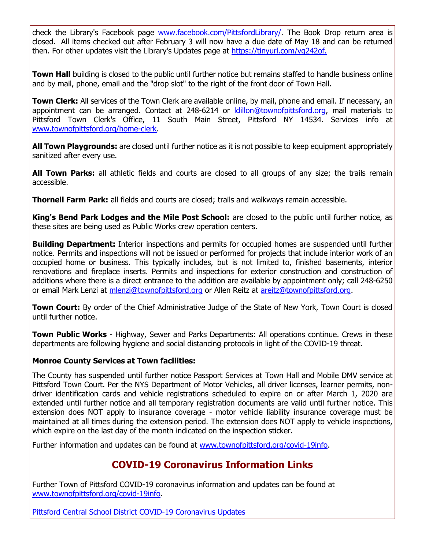check the Library's Facebook page [www.facebook.com/PittsfordLibrary/.](http://r20.rs6.net/tn.jsp?f=001GTAZxGUl8F8CNO8s0gOwdh6vJyK10AX8N6itBNBlIAl7LgnJLw3dg6V4E9lH1aPWyPZj7AZ4WMt3uLLmx_Htr38VX8DUFzciUpjSSkdPFOwiH7Rdam67AV4vfo76xNurhiKRaVIKBWdhXDJMSTTia9Ub8GSOBYTFE6Jt_jMgnAmc9G5BL7BfKefa1uAuD-iyonVHYQKzOLU=&c=TCwLOPnNqRkySd0f70GbV1w1KhrfOIwj_G5lZ57YVJN_Cl2gIAWHZA==&ch=f9M2ijZn99xKaws4w96Cokod6w0_Gw-cvgH6G1gVQst2E8TYCpIzug==) The Book Drop return area is closed. All items checked out after February 3 will now have a due date of May 18 and can be returned then. For other updates visit the Library's Updates page at [https://tinyurl.com/vg242of.](http://r20.rs6.net/tn.jsp?f=001GTAZxGUl8F8CNO8s0gOwdh6vJyK10AX8N6itBNBlIAl7LgnJLw3dg6V4E9lH1aPW50vNBuADFL_wGTBi0fQGo6_1Rn4jZCW37_bPUFKckymAy39of22PNnGv6S-KtuPRcBctvzcLruLEu2W4hLxEyw7me-x2OiV80_s9d1zRCqW7LsmhZMM1AQ==&c=TCwLOPnNqRkySd0f70GbV1w1KhrfOIwj_G5lZ57YVJN_Cl2gIAWHZA==&ch=f9M2ijZn99xKaws4w96Cokod6w0_Gw-cvgH6G1gVQst2E8TYCpIzug==)

**Town Hall** building is closed to the public until further notice but remains staffed to handle business online and by mail, phone, email and the "drop slot" to the right of the front door of Town Hall.

**Town Clerk:** All services of the Town Clerk are available online, by mail, phone and email. If necessary, an appointment can be arranged. Contact at 248-6214 or Idillon@townofpittsford.org, mail materials to Pittsford Town Clerk's Office, 11 South Main Street, Pittsford NY 14534. Services info at [www.townofpittsford.org/home-clerk.](http://r20.rs6.net/tn.jsp?f=001GTAZxGUl8F8CNO8s0gOwdh6vJyK10AX8N6itBNBlIAl7LgnJLw3dg77yZQNsmnrXP0ga8SpiDYUjm1K6ysYRGxxKllLofFfHA5j8L5Psf1c1pAwTn9bWLY25hQA8SJ_8FUULSANmlV5MRxEOmfzi_yoT4TSaWmo4MHW4EUhEZUGlUJTecfA15A361l4kh3Rl1VgxUgrJJaxrpfAJ_ga9fJvKjFedZyBb7wlpMNppmkU4EvbomYfIiHZBGVMnyeiYGeNM5jTrhYnLiwkr5Yf9EZ0qDFJ_CEScAlam87UU6IY9T_KUr5cRGA==&c=TCwLOPnNqRkySd0f70GbV1w1KhrfOIwj_G5lZ57YVJN_Cl2gIAWHZA==&ch=f9M2ijZn99xKaws4w96Cokod6w0_Gw-cvgH6G1gVQst2E8TYCpIzug==)

**All Town Playgrounds:** are closed until further notice as it is not possible to keep equipment appropriately sanitized after every use.

**All Town Parks:** all athletic fields and courts are closed to all groups of any size; the trails remain accessible.

**Thornell Farm Park:** all fields and courts are closed; trails and walkways remain accessible.

**King's Bend Park Lodges and the Mile Post School:** are closed to the public until further notice, as these sites are being used as Public Works crew operation centers.

**Building Department:** Interior inspections and permits for occupied homes are suspended until further notice. Permits and inspections will not be issued or performed for projects that include interior work of an occupied home or business. This typically includes, but is not limited to, finished basements, interior renovations and fireplace inserts. Permits and inspections for exterior construction and construction of additions where there is a direct entrance to the addition are available by appointment only; call 248-6250 or email Mark Lenzi at [mlenzi@townofpittsford.org](mailto:mlenzi@townofpittsford.org?subject=Building%20Inspection) or Allen Reitz at [areitz@townofpittsford.org.](mailto:areitz@townofpittsford.org?subject=Building%20Inspection)

**Town Court:** By order of the Chief Administrative Judge of the State of New York, Town Court is closed until further notice.

**Town Public Works** - Highway, Sewer and Parks Departments: All operations continue. Crews in these departments are following hygiene and social distancing protocols in light of the COVID-19 threat.

#### **Monroe County Services at Town facilities:**

The County has suspended until further notice Passport Services at Town Hall and Mobile DMV service at Pittsford Town Court. Per the NYS Department of Motor Vehicles, all driver licenses, learner permits, nondriver identification cards and vehicle registrations scheduled to expire on or after March 1, 2020 are extended until further notice and all temporary registration documents are valid until further notice. This extension does NOT apply to insurance coverage - motor vehicle liability insurance coverage must be maintained at all times during the extension period. The extension does NOT apply to vehicle inspections, which expire on the last day of the month indicated on the inspection sticker.

Further information and updates can be found at [www.townofpittsford.org/covid-19info.](http://r20.rs6.net/tn.jsp?f=001GTAZxGUl8F8CNO8s0gOwdh6vJyK10AX8N6itBNBlIAl7LgnJLw3dg3IOkHbIVi2eEMIH0LLXCNgwZ-KPjWlIuZ6L-A3_Q-LEFLpV0sO6BtI8Ai_W7wh-3BpJmv95RVIDd1kuAlgMtgb6FPV88cuG8Dn_d_z643iVi8BEJAT55X0uRWyxCDDed3dtULbAsZYsuGRBIP5t-PXVRlg-24eQRr2FQ0EdTPF9qVF175wslaD61jyuWC7tss-f2F3B_MDQRy_zLmTS_9O4iRM6a704lsFraQnngCimcSlNa15IW3GQuUT_nQauzA==&c=TCwLOPnNqRkySd0f70GbV1w1KhrfOIwj_G5lZ57YVJN_Cl2gIAWHZA==&ch=f9M2ijZn99xKaws4w96Cokod6w0_Gw-cvgH6G1gVQst2E8TYCpIzug==)

## **COVID-19 Coronavirus Information Links**

Further Town of Pittsford COVID-19 coronavirus information and updates can be found at [www.townofpittsford.org/covid-19info.](http://r20.rs6.net/tn.jsp?f=001GTAZxGUl8F8CNO8s0gOwdh6vJyK10AX8N6itBNBlIAl7LgnJLw3dg3IOkHbIVi2eEMIH0LLXCNgwZ-KPjWlIuZ6L-A3_Q-LEFLpV0sO6BtI8Ai_W7wh-3BpJmv95RVIDd1kuAlgMtgb6FPV88cuG8Dn_d_z643iVi8BEJAT55X0uRWyxCDDed3dtULbAsZYsuGRBIP5t-PXVRlg-24eQRr2FQ0EdTPF9qVF175wslaD61jyuWC7tss-f2F3B_MDQRy_zLmTS_9O4iRM6a704lsFraQnngCimcSlNa15IW3GQuUT_nQauzA==&c=TCwLOPnNqRkySd0f70GbV1w1KhrfOIwj_G5lZ57YVJN_Cl2gIAWHZA==&ch=f9M2ijZn99xKaws4w96Cokod6w0_Gw-cvgH6G1gVQst2E8TYCpIzug==)

[Pittsford Central School District COVID-19 Coronavirus Updates](http://r20.rs6.net/tn.jsp?f=001GTAZxGUl8F8CNO8s0gOwdh6vJyK10AX8N6itBNBlIAl7LgnJLw3dg6V4E9lH1aPW1OoGuyO-bK3br9K9yowZnXQC3Rujvp-6Rhe5qvquhpob89Ay8iOQIDG9Ru7mPApjJCefg2VXt5u53Er8TFX_Zx782qerydd4snfZHOXvU6US6Vcvq5KleGTMOvH6GbC7E0AipXxqfOyRLsdr0fRw5KSvNb1TmBSn-IKfq229hXbhTbH2V7Zx859tep2lIp2XzdepnFcGm_rPyk11_yCIeOZPK56K21ezRad5GXOO_w8KFBHnROgVn4RjzZ9wHBa2&c=TCwLOPnNqRkySd0f70GbV1w1KhrfOIwj_G5lZ57YVJN_Cl2gIAWHZA==&ch=f9M2ijZn99xKaws4w96Cokod6w0_Gw-cvgH6G1gVQst2E8TYCpIzug==)